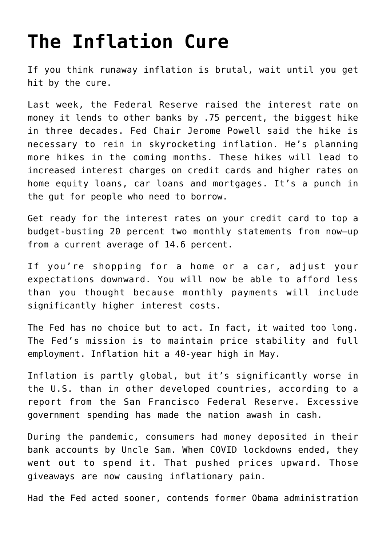## **[The Inflation Cure](https://intellectualtakeout.org/2022/06/the-inflation-cure/)**

If you think runaway inflation is brutal, wait until you get hit by the cure.

Last week, the Federal Reserve raised the interest rate on money it lends to other banks by .75 percent, the biggest hike in three decades. Fed Chair Jerome Powell said the hike is necessary to rein in skyrocketing inflation. He's planning more hikes in the coming months. These hikes will lead to increased interest charges on credit cards and higher rates on home equity loans, car loans and mortgages. It's a punch in the gut for people who need to borrow.

Get ready for the interest rates on your credit card to top a budget-busting 20 percent two monthly statements from now—up from a current average of 14.6 percent.

If you're shopping for a home or a car, adjust your expectations downward. You will now be able to afford less than you thought because monthly payments will include significantly higher interest costs.

The Fed has no choice but to act. In fact, it waited too long. The Fed's mission is to maintain price stability and full employment. Inflation hit a 40-year high in May.

Inflation is partly global, but it's significantly worse in the U.S. than in other developed countries, according to a report from the San Francisco Federal Reserve. Excessive government spending has made the nation awash in cash.

During the pandemic, consumers had money deposited in their bank accounts by Uncle Sam. When COVID lockdowns ended, they went out to spend it. That pushed prices upward. Those giveaways are now causing inflationary pain.

Had the Fed acted sooner, contends former Obama administration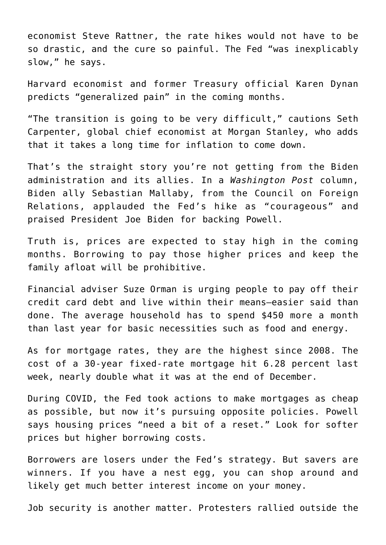economist Steve Rattner, the rate hikes would not have to be so drastic, and the cure so painful. The Fed "was inexplicably slow," he says.

Harvard economist and former Treasury official Karen Dynan predicts "generalized pain" in the coming months.

"The transition is going to be very difficult," cautions Seth Carpenter, global chief economist at Morgan Stanley, who adds that it takes a long time for inflation to come down.

That's the straight story you're not getting from the Biden administration and its allies. In a *Washington Post* column, Biden ally Sebastian Mallaby, from the Council on Foreign Relations, applauded the Fed's hike as "courageous" and praised President Joe Biden for backing Powell.

Truth is, prices are expected to stay high in the coming months. Borrowing to pay those higher prices and keep the family afloat will be prohibitive.

Financial adviser Suze Orman is urging people to pay off their credit card debt and live within their means—easier said than done. The average household has to spend \$450 more a month than last year for basic necessities such as food and energy.

As for mortgage rates, they are the highest since 2008. The cost of a 30-year fixed-rate mortgage hit 6.28 percent last week, nearly double what it was at the end of December.

During COVID, the Fed took actions to make mortgages as cheap as possible, but now it's pursuing opposite policies. Powell says housing prices "need a bit of a reset." Look for softer prices but higher borrowing costs.

Borrowers are losers under the Fed's strategy. But savers are winners. If you have a nest egg, you can shop around and likely get much better interest income on your money.

Job security is another matter. Protesters rallied outside the